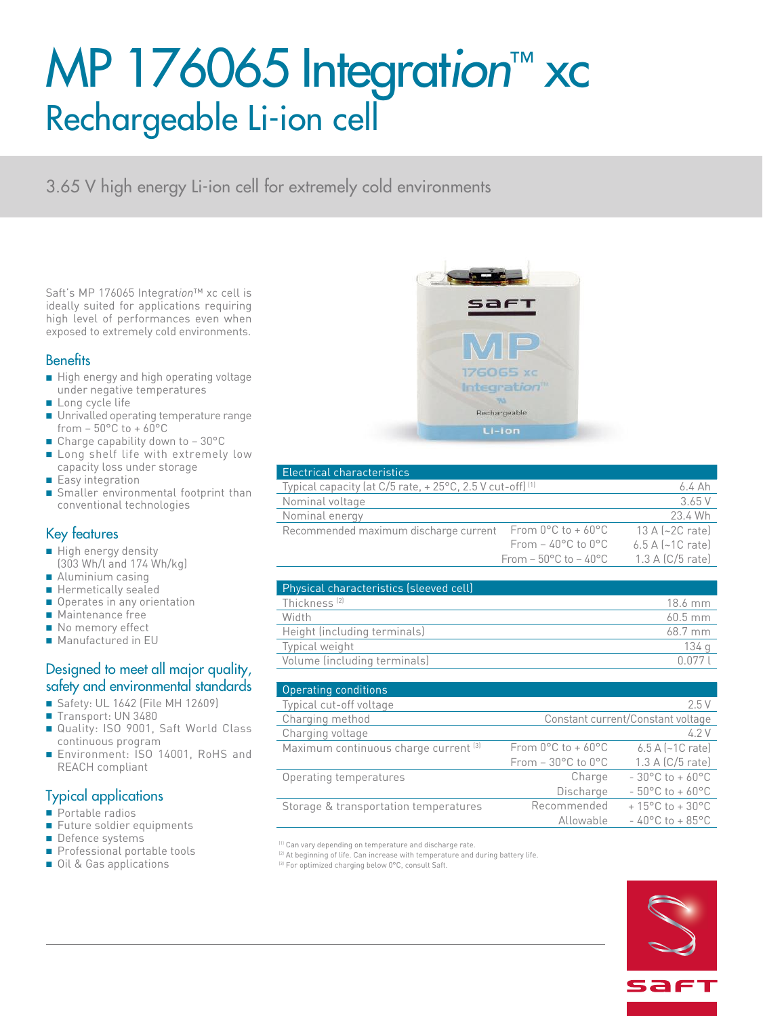# MP 176065 Integrat*ion*™ xc Rechargeable Li-ion cell

3.65 V high energy Li-ion cell for extremely cold environments

Saft's MP 176065 Integrat*ion*™ xc cell is ideally suited for applications requiring high level of performances even when exposed to extremely cold environments.

### **Benefits**

- High energy and high operating voltage under negative temperatures
- Long cycle life
- Unrivalled operating temperature range from  $-50^{\circ}$ C to  $+60^{\circ}$ C
- Charge capability down to 30°C
- Long shelf life with extremely low capacity loss under storage
- Easy integration
- Smaller environmental footprint than conventional technologies

## Key features

- High energy density (303 Wh/l and 174 Wh/kg)
- Aluminium casing
- Hermetically sealed
- Operates in any orientation
- Maintenance free
- No memory effect
- Manufactured in EU

### Designed to meet all major quality, safety and environmental standards

- Safety: UL 1642 (File MH 12609)
- Transport: UN 3480
- Quality: ISO 9001, Saft World Class continuous program
- Environment: ISO 14001, RoHS and REACH compliant

# Typical applications

- Portable radios
- Future soldier equipments
- Defence systems
- Professional portable tools
- Oil & Gas applications



| Electrical characteristics                                          |                                            |                                     |
|---------------------------------------------------------------------|--------------------------------------------|-------------------------------------|
| Typical capacity (at C/5 rate, +25°C, 2.5 V cut-off) <sup>(1)</sup> |                                            | $6.4$ Ah                            |
| Nominal voltage                                                     |                                            | 3.65 V                              |
| Nominal energy                                                      |                                            | 23.4 Wh                             |
| Recommended maximum discharge current                               | From $0^{\circ}$ C to + 60 $^{\circ}$ C    | 13 A $\left[\sim 2C\right]$ ratel   |
|                                                                     | From $-$ 40 $^{\circ}$ C to 0 $^{\circ}$ C | $6.5$ A $\left[\sim10\right]$ ratel |
|                                                                     | From $-50^{\circ}$ C to $-40^{\circ}$ C    | $1.3$ A (C/5 rate)                  |
|                                                                     |                                            |                                     |

| Physical characteristics (sleeved cell) |                     |
|-----------------------------------------|---------------------|
| Thickness <sup>(2)</sup>                | 18.6 mm             |
| Width                                   | $60.5$ mm           |
| Height (including terminals)            | $68.7 \, \text{mm}$ |
| Typical weight                          | 134 a               |
| Volume (including terminals)            | በ በ77               |

| <b>Operating conditions</b>           |                                         |                                      |
|---------------------------------------|-----------------------------------------|--------------------------------------|
| Typical cut-off voltage               |                                         | 2.5V                                 |
| Charging method                       | Constant current/Constant voltage       |                                      |
| Charging voltage                      |                                         | 4.2V                                 |
| Maximum continuous charge current [3] | From $0^{\circ}$ C to + 60 $^{\circ}$ C | $6.5$ A $\left[-1$ C rate)           |
|                                       | From $-30^{\circ}$ C to $0^{\circ}$ C   | 1.3 A (C/5 rate)                     |
| Operating temperatures                | Charge                                  | $-30^{\circ}$ C to $+60^{\circ}$ C   |
|                                       | Discharge                               | $-50^{\circ}$ C to + 60 $^{\circ}$ C |
| Storage & transportation temperatures | Recommended                             | $+15^{\circ}$ C to $+30^{\circ}$ C   |
|                                       | Allowable                               | $-40^{\circ}$ C to $+85^{\circ}$ C   |

(1) Can vary depending on temperature and discharge rate

<sup>(2)</sup> At beginning of life. Can increase with temperature and during battery life.

(3) For optimized charging below 0°C, consult Saft.